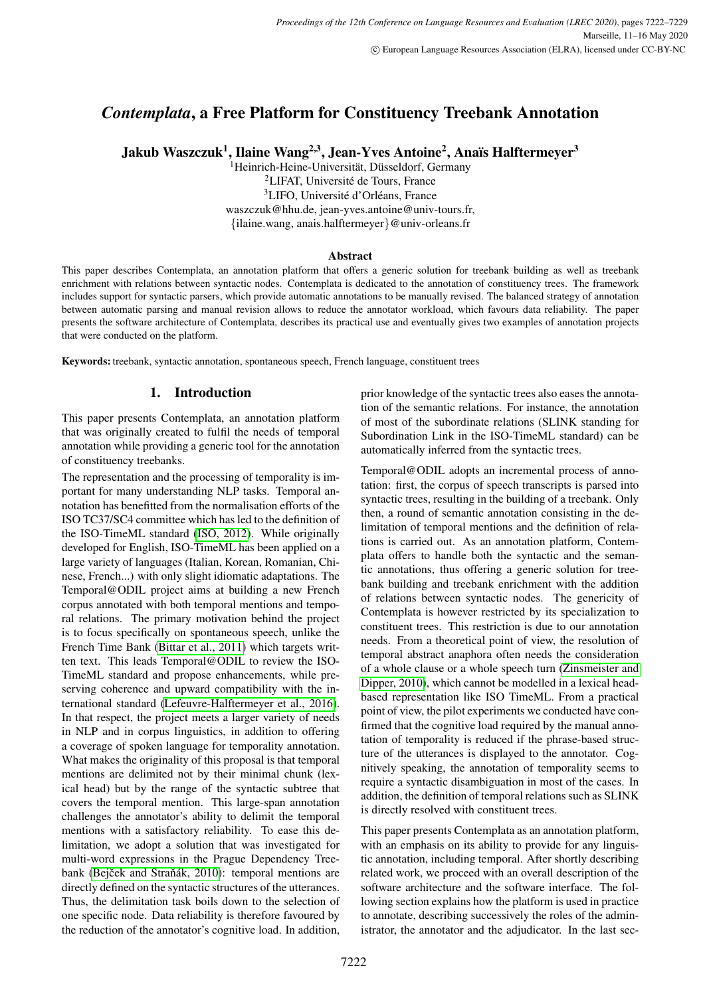# *Contemplata*, a Free Platform for Constituency Treebank Annotation

Jakub Waszczuk<sup>1</sup>, Ilaine Wang<sup>2,3</sup>, Jean-Yves Antoine<sup>2</sup>, Anaïs Halftermeyer<sup>3</sup>

<sup>1</sup>Heinrich-Heine-Universität, Düsseldorf, Germany

<sup>2</sup>LIFAT, Université de Tours, France

 ${}^{3}$ LIFO, Université d'Orléans, France

waszczuk@hhu.de, jean-yves.antoine@univ-tours.fr,

{ilaine.wang, anais.halftermeyer}@univ-orleans.fr

## Abstract

This paper describes Contemplata, an annotation platform that offers a generic solution for treebank building as well as treebank enrichment with relations between syntactic nodes. Contemplata is dedicated to the annotation of constituency trees. The framework includes support for syntactic parsers, which provide automatic annotations to be manually revised. The balanced strategy of annotation between automatic parsing and manual revision allows to reduce the annotator workload, which favours data reliability. The paper presents the software architecture of Contemplata, describes its practical use and eventually gives two examples of annotation projects that were conducted on the platform.

Keywords: treebank, syntactic annotation, spontaneous speech, French language, constituent trees

## 1. Introduction

This paper presents Contemplata, an annotation platform that was originally created to fulfil the needs of temporal annotation while providing a generic tool for the annotation of constituency treebanks.

The representation and the processing of temporality is important for many understanding NLP tasks. Temporal annotation has benefitted from the normalisation efforts of the ISO TC37/SC4 committee which has led to the definition of the ISO-TimeML standard [\(ISO, 2012\)](#page-7-0). While originally developed for English, ISO-TimeML has been applied on a large variety of languages (Italian, Korean, Romanian, Chinese, French...) with only slight idiomatic adaptations. The Temporal@ODIL project aims at building a new French corpus annotated with both temporal mentions and temporal relations. The primary motivation behind the project is to focus specifically on spontaneous speech, unlike the French Time Bank [\(Bittar et al., 2011\)](#page-7-1) which targets written text. This leads Temporal@ODIL to review the ISO-TimeML standard and propose enhancements, while preserving coherence and upward compatibility with the international standard [\(Lefeuvre-Halftermeyer et al., 2016\)](#page-7-2). In that respect, the project meets a larger variety of needs in NLP and in corpus linguistics, in addition to offering a coverage of spoken language for temporality annotation. What makes the originality of this proposal is that temporal mentions are delimited not by their minimal chunk (lexical head) but by the range of the syntactic subtree that covers the temporal mention. This large-span annotation challenges the annotator's ability to delimit the temporal mentions with a satisfactory reliability. To ease this delimitation, we adopt a solution that was investigated for multi-word expressions in the Prague Dependency Treebank (Bejček and Straňák, 2010): temporal mentions are directly defined on the syntactic structures of the utterances. Thus, the delimitation task boils down to the selection of one specific node. Data reliability is therefore favoured by the reduction of the annotator's cognitive load. In addition,

prior knowledge of the syntactic trees also eases the annotation of the semantic relations. For instance, the annotation of most of the subordinate relations (SLINK standing for Subordination Link in the ISO-TimeML standard) can be automatically inferred from the syntactic trees.

Temporal@ODIL adopts an incremental process of annotation: first, the corpus of speech transcripts is parsed into syntactic trees, resulting in the building of a treebank. Only then, a round of semantic annotation consisting in the delimitation of temporal mentions and the definition of relations is carried out. As an annotation platform, Contemplata offers to handle both the syntactic and the semantic annotations, thus offering a generic solution for treebank building and treebank enrichment with the addition of relations between syntactic nodes. The genericity of Contemplata is however restricted by its specialization to constituent trees. This restriction is due to our annotation needs. From a theoretical point of view, the resolution of temporal abstract anaphora often needs the consideration of a whole clause or a whole speech turn [\(Zinsmeister and](#page-7-4) [Dipper, 2010\)](#page-7-4), which cannot be modelled in a lexical headbased representation like ISO TimeML. From a practical point of view, the pilot experiments we conducted have confirmed that the cognitive load required by the manual annotation of temporality is reduced if the phrase-based structure of the utterances is displayed to the annotator. Cognitively speaking, the annotation of temporality seems to require a syntactic disambiguation in most of the cases. In addition, the definition of temporal relations such as SLINK is directly resolved with constituent trees.

This paper presents Contemplata as an annotation platform, with an emphasis on its ability to provide for any linguistic annotation, including temporal. After shortly describing related work, we proceed with an overall description of the software architecture and the software interface. The following section explains how the platform is used in practice to annotate, describing successively the roles of the administrator, the annotator and the adjudicator. In the last sec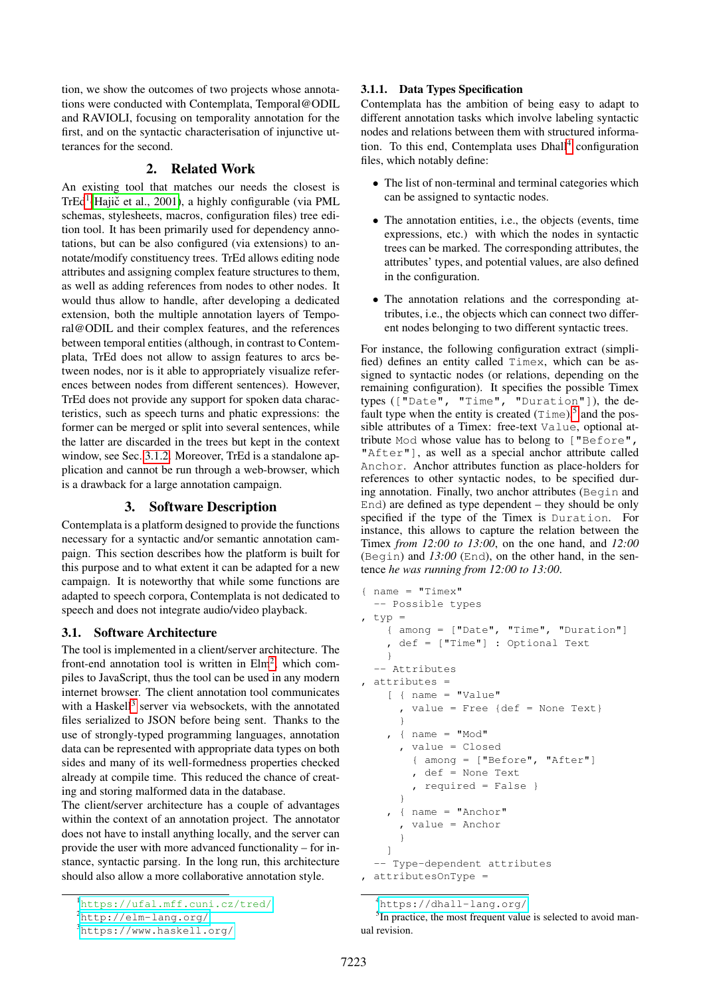tion, we show the outcomes of two projects whose annotations were conducted with Contemplata, Temporal@ODIL and RAVIOLI, focusing on temporality annotation for the first, and on the syntactic characterisation of injunctive utterances for the second.

## 2. Related Work

An existing tool that matches our needs the closest is TrEd<sup>[1](#page-1-0)</sup>(Hajič et al., 2001), a highly configurable (via PML schemas, stylesheets, macros, configuration files) tree edition tool. It has been primarily used for dependency annotations, but can be also configured (via extensions) to annotate/modify constituency trees. TrEd allows editing node attributes and assigning complex feature structures to them, as well as adding references from nodes to other nodes. It would thus allow to handle, after developing a dedicated extension, both the multiple annotation layers of Temporal@ODIL and their complex features, and the references between temporal entities (although, in contrast to Contemplata, TrEd does not allow to assign features to arcs between nodes, nor is it able to appropriately visualize references between nodes from different sentences). However, TrEd does not provide any support for spoken data characteristics, such as speech turns and phatic expressions: the former can be merged or split into several sentences, while the latter are discarded in the trees but kept in the context window, see Sec. [3.1.2.](#page-2-0) Moreover, TrEd is a standalone application and cannot be run through a web-browser, which is a drawback for a large annotation campaign.

## 3. Software Description

Contemplata is a platform designed to provide the functions necessary for a syntactic and/or semantic annotation campaign. This section describes how the platform is built for this purpose and to what extent it can be adapted for a new campaign. It is noteworthy that while some functions are adapted to speech corpora, Contemplata is not dedicated to speech and does not integrate audio/video playback.

#### 3.1. Software Architecture

The tool is implemented in a client/server architecture. The front-end annotation tool is written in  $Elm^2$  $Elm^2$ , which compiles to JavaScript, thus the tool can be used in any modern internet browser. The client annotation tool communicates with a Haskell<sup>[3](#page-1-2)</sup> server via websockets, with the annotated files serialized to JSON before being sent. Thanks to the use of strongly-typed programming languages, annotation data can be represented with appropriate data types on both sides and many of its well-formedness properties checked already at compile time. This reduced the chance of creating and storing malformed data in the database.

The client/server architecture has a couple of advantages within the context of an annotation project. The annotator does not have to install anything locally, and the server can provide the user with more advanced functionality – for instance, syntactic parsing. In the long run, this architecture should also allow a more collaborative annotation style.

## <span id="page-1-5"></span>3.1.1. Data Types Specification

Contemplata has the ambition of being easy to adapt to different annotation tasks which involve labeling syntactic nodes and relations between them with structured informa-tion. To this end, Contemplata uses Dhall<sup>[4](#page-1-3)</sup> configuration files, which notably define:

- The list of non-terminal and terminal categories which can be assigned to syntactic nodes.
- The annotation entities, i.e., the objects (events, time expressions, etc.) with which the nodes in syntactic trees can be marked. The corresponding attributes, the attributes' types, and potential values, are also defined in the configuration.
- The annotation relations and the corresponding attributes, i.e., the objects which can connect two different nodes belonging to two different syntactic trees.

For instance, the following configuration extract (simplified) defines an entity called Timex, which can be assigned to syntactic nodes (or relations, depending on the remaining configuration). It specifies the possible Timex types (["Date", "Time", "Duration"]), the default type when the entity is created  $(T \text{ime})$ ,<sup>[5](#page-1-4)</sup> and the possible attributes of a Timex: free-text Value, optional attribute Mod whose value has to belong to ["Before", "After"], as well as a special anchor attribute called Anchor. Anchor attributes function as place-holders for references to other syntactic nodes, to be specified during annotation. Finally, two anchor attributes (Begin and End) are defined as type dependent – they should be only specified if the type of the Timex is Duration. For instance, this allows to capture the relation between the Timex *from 12:00 to 13:00*, on the one hand, and *12:00* (Begin) and *13:00* (End), on the other hand, in the sentence *he was running from 12:00 to 13:00*.

```
{ name = "Timex"
  -- Possible types
 typ ={ among = ["Date", "Time", "Duration"]
    , def = ["Time"] : Optional Text
    }
  -- Attributes
 , attributes =
    [ { name = "Value"
      , value = Free {def = None Text}
      }
    , \{ name = "Mod" \}, value = Closed
        { among = ["Before", "After"]
        , def = None Text
        , required = False }
      }
    , \{ name = "Another", value = Anchor
     }
   ]
  -- Type-dependent attributes
, attributesOnType =
```
<span id="page-1-0"></span><sup>1</sup><https://ufal.mff.cuni.cz/tred/>

<span id="page-1-1"></span> ${}^{2}$ <http://elm-lang.org/>

<span id="page-1-2"></span><sup>3</sup><https://www.haskell.org/>

<span id="page-1-4"></span><span id="page-1-3"></span><sup>4</sup><https://dhall-lang.org/>

<sup>&</sup>lt;sup>5</sup>In practice, the most frequent value is selected to avoid manual revision.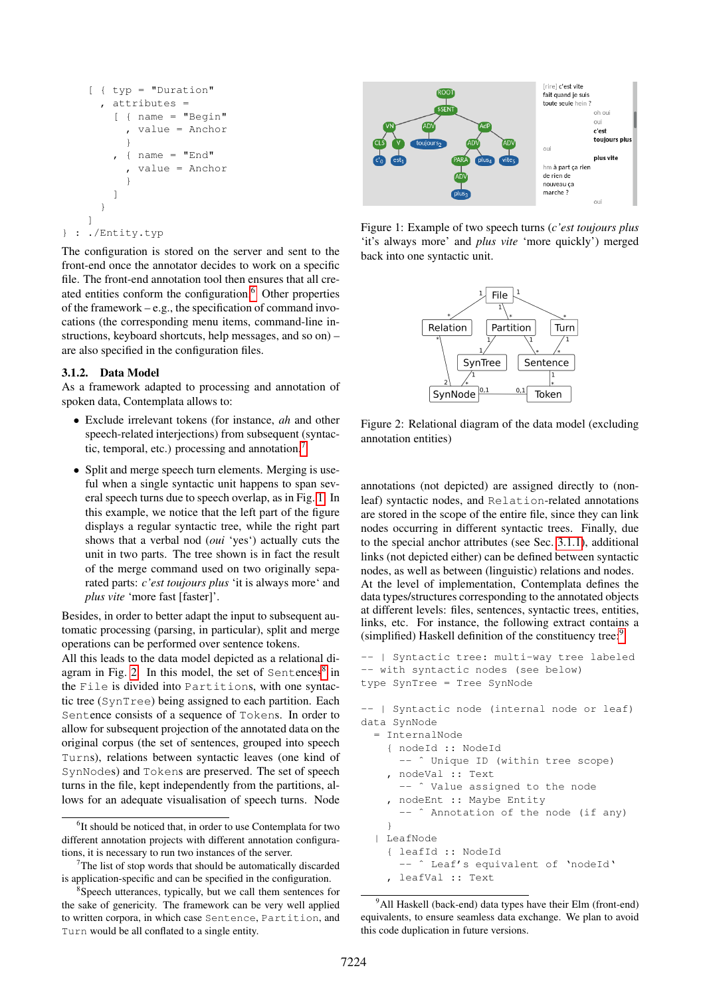```
[ { typ = "Duration"
       , attributes =
         \int \{ name = "Begin"
             value = Anchor
           }
           { name = "End"
             , value = Anchor
           }
         ]
       }
    ]
} : ./Entity.typ
```
The configuration is stored on the server and sent to the front-end once the annotator decides to work on a specific file. The front-end annotation tool then ensures that all cre-ated entities conform the configuration.<sup>[6](#page-2-1)</sup> Other properties of the framework – e.g., the specification of command invocations (the corresponding menu items, command-line instructions, keyboard shortcuts, help messages, and so on) – are also specified in the configuration files.

#### <span id="page-2-0"></span>3.1.2. Data Model

As a framework adapted to processing and annotation of spoken data, Contemplata allows to:

- Exclude irrelevant tokens (for instance, *ah* and other speech-related interjections) from subsequent (syntactic, temporal, etc.) processing and annotation.[7](#page-2-2)
- Split and merge speech turn elements. Merging is useful when a single syntactic unit happens to span several speech turns due to speech overlap, as in Fig. [1.](#page-2-3) In this example, we notice that the left part of the figure displays a regular syntactic tree, while the right part shows that a verbal nod (*oui* 'yes') actually cuts the unit in two parts. The tree shown is in fact the result of the merge command used on two originally separated parts: *c'est toujours plus* 'it is always more' and *plus vite* 'more fast [faster]'.

Besides, in order to better adapt the input to subsequent automatic processing (parsing, in particular), split and merge operations can be performed over sentence tokens.

All this leads to the data model depicted as a relational di-agram in Fig. [2.](#page-2-4) In this model, the set of Sentences<sup>[8](#page-2-5)</sup> in the File is divided into Partitions, with one syntactic tree (SynTree) being assigned to each partition. Each Sentence consists of a sequence of Tokens. In order to allow for subsequent projection of the annotated data on the original corpus (the set of sentences, grouped into speech Turns), relations between syntactic leaves (one kind of SynNodes) and Tokens are preserved. The set of speech turns in the file, kept independently from the partitions, allows for an adequate visualisation of speech turns. Node



<span id="page-2-3"></span>Figure 1: Example of two speech turns (*c'est toujours plus* 'it's always more' and *plus vite* 'more quickly') merged back into one syntactic unit.



<span id="page-2-4"></span>Figure 2: Relational diagram of the data model (excluding annotation entities)

annotations (not depicted) are assigned directly to (nonleaf) syntactic nodes, and Relation-related annotations are stored in the scope of the entire file, since they can link nodes occurring in different syntactic trees. Finally, due to the special anchor attributes (see Sec. [3.1.1\)](#page-1-5), additional links (not depicted either) can be defined between syntactic nodes, as well as between (linguistic) relations and nodes. At the level of implementation, Contemplata defines the data types/structures corresponding to the annotated objects at different levels: files, sentences, syntactic trees, entities, links, etc. For instance, the following extract contains a (simplified) Haskell definition of the constituency tree:<sup>[9](#page-2-6)</sup>

```
-- | Syntactic tree: multi-way tree labeled
-- with syntactic nodes (see below)
type SynTree = Tree SynNode
-- | Syntactic node (internal node or leaf)
data SynNode
```

```
= InternalNode
  { nodeId :: NodeId
    -- ˆ Unique ID (within tree scope)
  , nodeVal :: Text
    -- ˆ Value assigned to the node
  , nodeEnt :: Maybe Entity
    -- ˆ Annotation of the node (if any)
  }
| LeafNode
  { leafId :: NodeId
```

```
-- ^ Leaf's equivalent of 'nodeId'
, leafVal :: Text
```
<span id="page-2-1"></span><sup>&</sup>lt;sup>6</sup>It should be noticed that, in order to use Contemplata for two different annotation projects with different annotation configurations, it is necessary to run two instances of the server.

<span id="page-2-2"></span> $7$ The list of stop words that should be automatically discarded is application-specific and can be specified in the configuration.

<span id="page-2-5"></span><sup>&</sup>lt;sup>8</sup> Speech utterances, typically, but we call them sentences for the sake of genericity. The framework can be very well applied to written corpora, in which case Sentence, Partition, and Turn would be all conflated to a single entity.

<span id="page-2-6"></span><sup>&</sup>lt;sup>9</sup>All Haskell (back-end) data types have their Elm (front-end) equivalents, to ensure seamless data exchange. We plan to avoid this code duplication in future versions.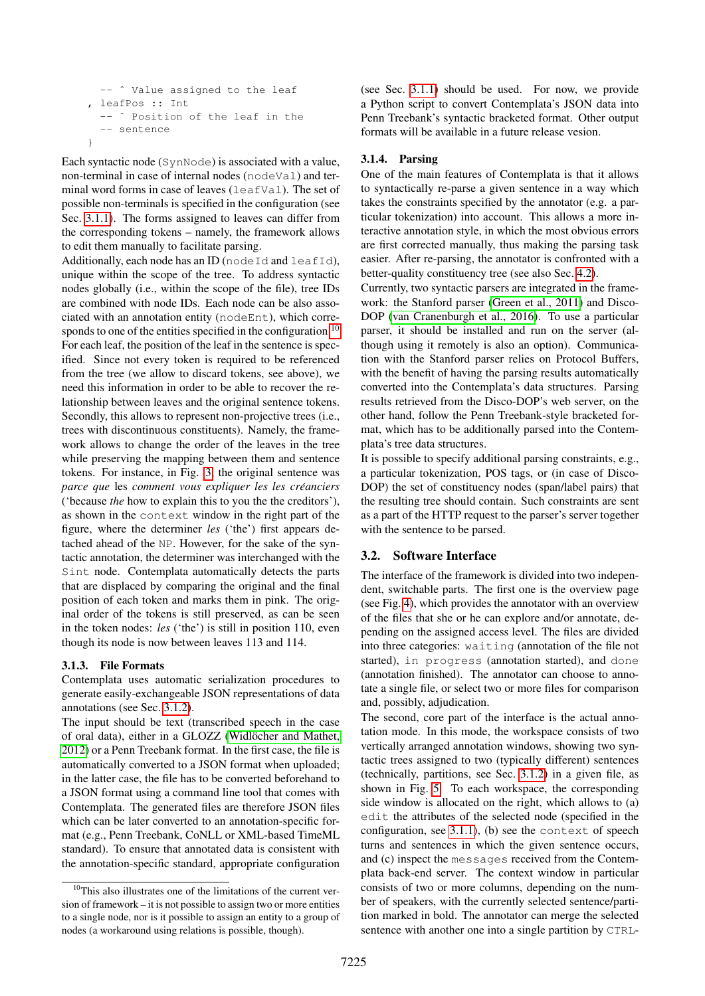```
-- ^ Value assigned to the leaf
 , leafPos :: Int
     ^ Position of the leaf in the
  -- sentence
}
```
Each syntactic node (SynNode) is associated with a value, non-terminal in case of internal nodes (nodeVal) and terminal word forms in case of leaves (leafVal). The set of possible non-terminals is specified in the configuration (see Sec. [3.1.1\)](#page-1-5). The forms assigned to leaves can differ from the corresponding tokens – namely, the framework allows to edit them manually to facilitate parsing.

Additionally, each node has an ID (node Id and leafId), unique within the scope of the tree. To address syntactic nodes globally (i.e., within the scope of the file), tree IDs are combined with node IDs. Each node can be also associated with an annotation entity (nodeEnt), which corre-sponds to one of the entities specified in the configuration.<sup>[10](#page-3-0)</sup>

For each leaf, the position of the leaf in the sentence is specified. Since not every token is required to be referenced from the tree (we allow to discard tokens, see above), we need this information in order to be able to recover the relationship between leaves and the original sentence tokens. Secondly, this allows to represent non-projective trees (i.e., trees with discontinuous constituents). Namely, the framework allows to change the order of the leaves in the tree while preserving the mapping between them and sentence tokens. For instance, in Fig. [3,](#page-4-0) the original sentence was *parce que* les *comment vous expliquer les les creanciers ´* ('because *the* how to explain this to you the the creditors'), as shown in the context window in the right part of the figure, where the determiner *les* ('the') first appears detached ahead of the NP. However, for the sake of the syntactic annotation, the determiner was interchanged with the Sint node. Contemplata automatically detects the parts that are displaced by comparing the original and the final position of each token and marks them in pink. The original order of the tokens is still preserved, as can be seen in the token nodes: *les* ('the') is still in position 110, even though its node is now between leaves 113 and 114.

#### 3.1.3. File Formats

Contemplata uses automatic serialization procedures to generate easily-exchangeable JSON representations of data annotations (see Sec. [3.1.2\)](#page-2-0).

The input should be text (transcribed speech in the case of oral data), either in a GLOZZ (Widlöcher and Mathet, [2012\)](#page-7-6) or a Penn Treebank format. In the first case, the file is automatically converted to a JSON format when uploaded; in the latter case, the file has to be converted beforehand to a JSON format using a command line tool that comes with Contemplata. The generated files are therefore JSON files which can be later converted to an annotation-specific format (e.g., Penn Treebank, CoNLL or XML-based TimeML standard). To ensure that annotated data is consistent with the annotation-specific standard, appropriate configuration (see Sec. [3.1.1\)](#page-1-5) should be used. For now, we provide a Python script to convert Contemplata's JSON data into Penn Treebank's syntactic bracketed format. Other output formats will be available in a future release vesion.

#### 3.1.4. Parsing

One of the main features of Contemplata is that it allows to syntactically re-parse a given sentence in a way which takes the constraints specified by the annotator (e.g. a particular tokenization) into account. This allows a more interactive annotation style, in which the most obvious errors are first corrected manually, thus making the parsing task easier. After re-parsing, the annotator is confronted with a better-quality constituency tree (see also Sec. [4.2\)](#page-5-0).

Currently, two syntactic parsers are integrated in the framework: the Stanford parser [\(Green et al., 2011\)](#page-7-7) and Disco-DOP [\(van Cranenburgh et al., 2016\)](#page-7-8). To use a particular parser, it should be installed and run on the server (although using it remotely is also an option). Communication with the Stanford parser relies on Protocol Buffers, with the benefit of having the parsing results automatically converted into the Contemplata's data structures. Parsing results retrieved from the Disco-DOP's web server, on the other hand, follow the Penn Treebank-style bracketed format, which has to be additionally parsed into the Contemplata's tree data structures.

It is possible to specify additional parsing constraints, e.g., a particular tokenization, POS tags, or (in case of Disco-DOP) the set of constituency nodes (span/label pairs) that the resulting tree should contain. Such constraints are sent as a part of the HTTP request to the parser's server together with the sentence to be parsed.

#### <span id="page-3-1"></span>3.2. Software Interface

The interface of the framework is divided into two independent, switchable parts. The first one is the overview page (see Fig. [4\)](#page-4-1), which provides the annotator with an overview of the files that she or he can explore and/or annotate, depending on the assigned access level. The files are divided into three categories: waiting (annotation of the file not started), in progress (annotation started), and done (annotation finished). The annotator can choose to annotate a single file, or select two or more files for comparison and, possibly, adjudication.

The second, core part of the interface is the actual annotation mode. In this mode, the workspace consists of two vertically arranged annotation windows, showing two syntactic trees assigned to two (typically different) sentences (technically, partitions, see Sec. [3.1.2\)](#page-2-0) in a given file, as shown in Fig. [5.](#page-6-0) To each workspace, the corresponding side window is allocated on the right, which allows to (a) edit the attributes of the selected node (specified in the configuration, see [3.1.1\)](#page-1-5), (b) see the context of speech turns and sentences in which the given sentence occurs, and (c) inspect the messages received from the Contemplata back-end server. The context window in particular consists of two or more columns, depending on the number of speakers, with the currently selected sentence/partition marked in bold. The annotator can merge the selected sentence with another one into a single partition by CTRL-

<span id="page-3-0"></span><sup>&</sup>lt;sup>10</sup>This also illustrates one of the limitations of the current version of framework – it is not possible to assign two or more entities to a single node, nor is it possible to assign an entity to a group of nodes (a workaround using relations is possible, though).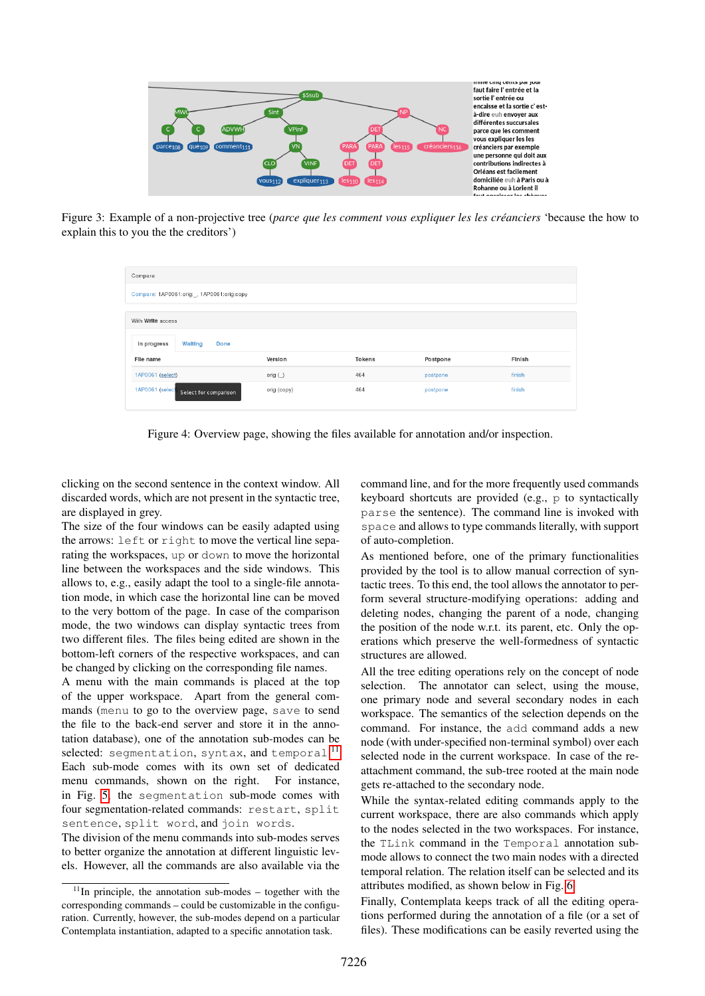

<span id="page-4-0"></span>Figure 3: Example of a non-projective tree (*parce que les comment vous expliquer les les creanciers ´* 'because the how to explain this to you the the creditors')

| Compare<br>Compare: 1AP0061:orig:_, 1AP0061:orig:copy |             |               |          |        |
|-------------------------------------------------------|-------------|---------------|----------|--------|
|                                                       |             |               |          |        |
| Walting<br><b>Done</b><br>In progress                 |             |               |          |        |
| File name                                             | Version     | <b>Tokens</b> | Postpone | Finish |
| 1AP0061 (select)                                      | orig $($    | 464           | postpone | finish |
| 1AP0061 (select Select for comparison                 | orig (copy) | 464           | postpone | finish |

<span id="page-4-1"></span>Figure 4: Overview page, showing the files available for annotation and/or inspection.

clicking on the second sentence in the context window. All discarded words, which are not present in the syntactic tree, are displayed in grey.

The size of the four windows can be easily adapted using the arrows: left or right to move the vertical line separating the workspaces, up or down to move the horizontal line between the workspaces and the side windows. This allows to, e.g., easily adapt the tool to a single-file annotation mode, in which case the horizontal line can be moved to the very bottom of the page. In case of the comparison mode, the two windows can display syntactic trees from two different files. The files being edited are shown in the bottom-left corners of the respective workspaces, and can be changed by clicking on the corresponding file names.

A menu with the main commands is placed at the top of the upper workspace. Apart from the general commands (menu to go to the overview page, save to send the file to the back-end server and store it in the annotation database), one of the annotation sub-modes can be selected: segmentation, syntax, and temporal.<sup>[11](#page-4-2)</sup> Each sub-mode comes with its own set of dedicated menu commands, shown on the right. For instance, in Fig. [5,](#page-6-0) the segmentation sub-mode comes with four segmentation-related commands: restart, split sentence, split word, and join words.

The division of the menu commands into sub-modes serves to better organize the annotation at different linguistic levels. However, all the commands are also available via the command line, and for the more frequently used commands keyboard shortcuts are provided (e.g., p to syntactically parse the sentence). The command line is invoked with space and allows to type commands literally, with support of auto-completion.

As mentioned before, one of the primary functionalities provided by the tool is to allow manual correction of syntactic trees. To this end, the tool allows the annotator to perform several structure-modifying operations: adding and deleting nodes, changing the parent of a node, changing the position of the node w.r.t. its parent, etc. Only the operations which preserve the well-formedness of syntactic structures are allowed.

All the tree editing operations rely on the concept of node selection. The annotator can select, using the mouse, one primary node and several secondary nodes in each workspace. The semantics of the selection depends on the command. For instance, the add command adds a new node (with under-specified non-terminal symbol) over each selected node in the current workspace. In case of the reattachment command, the sub-tree rooted at the main node gets re-attached to the secondary node.

While the syntax-related editing commands apply to the current workspace, there are also commands which apply to the nodes selected in the two workspaces. For instance, the TLink command in the Temporal annotation submode allows to connect the two main nodes with a directed temporal relation. The relation itself can be selected and its attributes modified, as shown below in Fig. [6.](#page-6-1)

Finally, Contemplata keeps track of all the editing operations performed during the annotation of a file (or a set of files). These modifications can be easily reverted using the

<span id="page-4-2"></span> $11$ In principle, the annotation sub-modes – together with the corresponding commands – could be customizable in the configuration. Currently, however, the sub-modes depend on a particular Contemplata instantiation, adapted to a specific annotation task.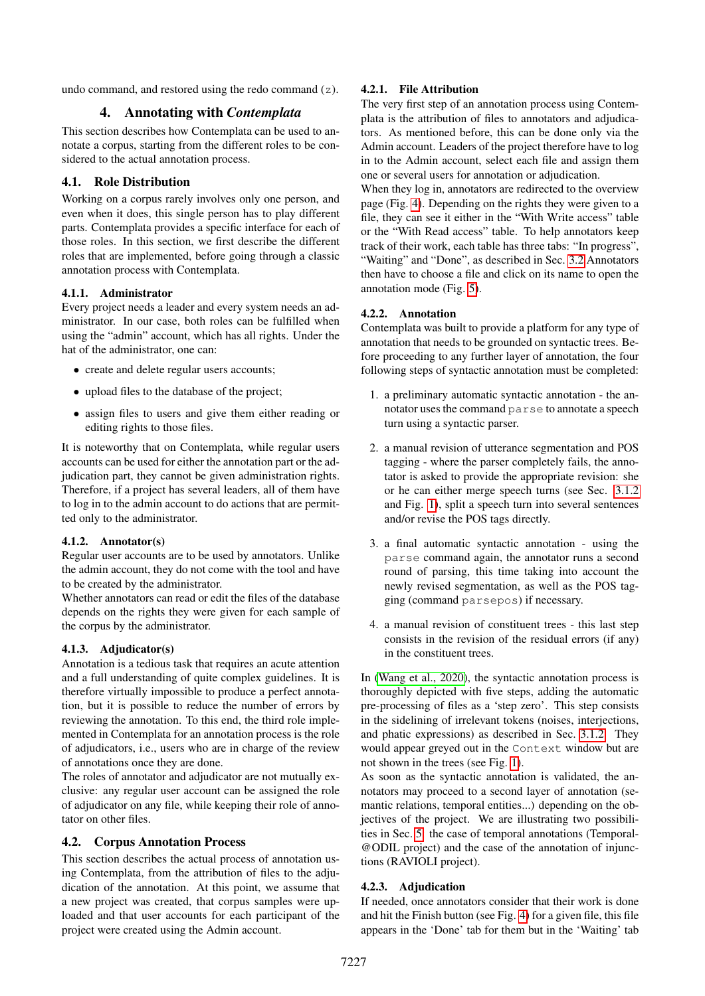undo command, and restored using the redo command (z).

#### 4. Annotating with *Contemplata*

This section describes how Contemplata can be used to annotate a corpus, starting from the different roles to be considered to the actual annotation process.

## 4.1. Role Distribution

Working on a corpus rarely involves only one person, and even when it does, this single person has to play different parts. Contemplata provides a specific interface for each of those roles. In this section, we first describe the different roles that are implemented, before going through a classic annotation process with Contemplata.

#### 4.1.1. Administrator

Every project needs a leader and every system needs an administrator. In our case, both roles can be fulfilled when using the "admin" account, which has all rights. Under the hat of the administrator, one can:

- create and delete regular users accounts;
- upload files to the database of the project;
- assign files to users and give them either reading or editing rights to those files.

It is noteworthy that on Contemplata, while regular users accounts can be used for either the annotation part or the adjudication part, they cannot be given administration rights. Therefore, if a project has several leaders, all of them have to log in to the admin account to do actions that are permitted only to the administrator.

#### 4.1.2. Annotator(s)

Regular user accounts are to be used by annotators. Unlike the admin account, they do not come with the tool and have to be created by the administrator.

Whether annotators can read or edit the files of the database depends on the rights they were given for each sample of the corpus by the administrator.

#### 4.1.3. Adjudicator(s)

Annotation is a tedious task that requires an acute attention and a full understanding of quite complex guidelines. It is therefore virtually impossible to produce a perfect annotation, but it is possible to reduce the number of errors by reviewing the annotation. To this end, the third role implemented in Contemplata for an annotation process is the role of adjudicators, i.e., users who are in charge of the review of annotations once they are done.

The roles of annotator and adjudicator are not mutually exclusive: any regular user account can be assigned the role of adjudicator on any file, while keeping their role of annotator on other files.

#### <span id="page-5-0"></span>4.2. Corpus Annotation Process

This section describes the actual process of annotation using Contemplata, from the attribution of files to the adjudication of the annotation. At this point, we assume that a new project was created, that corpus samples were uploaded and that user accounts for each participant of the project were created using the Admin account.

## 4.2.1. File Attribution

The very first step of an annotation process using Contemplata is the attribution of files to annotators and adjudicators. As mentioned before, this can be done only via the Admin account. Leaders of the project therefore have to log in to the Admin account, select each file and assign them one or several users for annotation or adjudication.

When they log in, annotators are redirected to the overview page (Fig. [4\)](#page-4-1). Depending on the rights they were given to a file, they can see it either in the "With Write access" table or the "With Read access" table. To help annotators keep track of their work, each table has three tabs: "In progress", "Waiting" and "Done", as described in Sec. [3.2](#page-3-1) Annotators then have to choose a file and click on its name to open the annotation mode (Fig. [5\)](#page-6-0).

#### 4.2.2. Annotation

Contemplata was built to provide a platform for any type of annotation that needs to be grounded on syntactic trees. Before proceeding to any further layer of annotation, the four following steps of syntactic annotation must be completed:

- 1. a preliminary automatic syntactic annotation the annotator uses the command parse to annotate a speech turn using a syntactic parser.
- 2. a manual revision of utterance segmentation and POS tagging - where the parser completely fails, the annotator is asked to provide the appropriate revision: she or he can either merge speech turns (see Sec. [3.1.2](#page-2-0) and Fig. [1\)](#page-2-3), split a speech turn into several sentences and/or revise the POS tags directly.
- 3. a final automatic syntactic annotation using the parse command again, the annotator runs a second round of parsing, this time taking into account the newly revised segmentation, as well as the POS tagging (command parsepos) if necessary.
- 4. a manual revision of constituent trees this last step consists in the revision of the residual errors (if any) in the constituent trees.

In [\(Wang et al., 2020\)](#page-7-9), the syntactic annotation process is thoroughly depicted with five steps, adding the automatic pre-processing of files as a 'step zero'. This step consists in the sidelining of irrelevant tokens (noises, interjections, and phatic expressions) as described in Sec. [3.1.2.](#page-2-0) They would appear greyed out in the Context window but are not shown in the trees (see Fig. [1\)](#page-2-3).

As soon as the syntactic annotation is validated, the annotators may proceed to a second layer of annotation (semantic relations, temporal entities...) depending on the objectives of the project. We are illustrating two possibilities in Sec. [5:](#page-6-2) the case of temporal annotations (Temporal- @ODIL project) and the case of the annotation of injunctions (RAVIOLI project).

## 4.2.3. Adjudication

If needed, once annotators consider that their work is done and hit the Finish button (see Fig. [4\)](#page-4-1) for a given file, this file appears in the 'Done' tab for them but in the 'Waiting' tab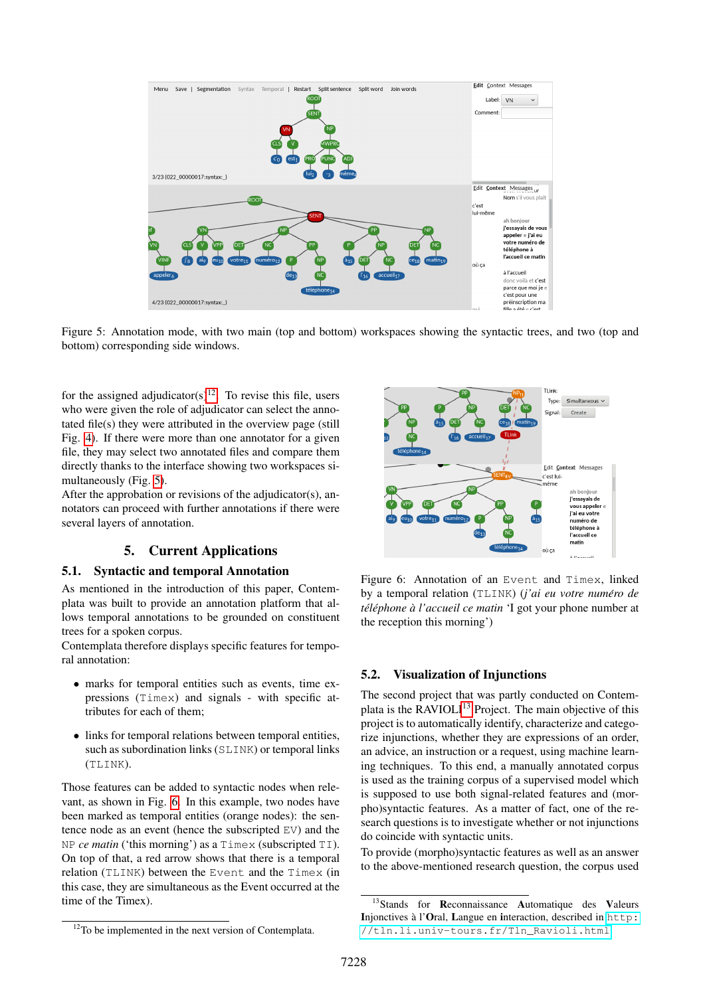

<span id="page-6-0"></span>Figure 5: Annotation mode, with two main (top and bottom) workspaces showing the syntactic trees, and two (top and bottom) corresponding side windows.

for the assigned adjudicator(s)<sup>[12](#page-6-3)</sup>. To revise this file, users who were given the role of adjudicator can select the annotated file(s) they were attributed in the overview page (still Fig. [4\)](#page-4-1). If there were more than one annotator for a given file, they may select two annotated files and compare them directly thanks to the interface showing two workspaces simultaneously (Fig. [5\)](#page-6-0).

After the approbation or revisions of the adjudicator(s), annotators can proceed with further annotations if there were several layers of annotation.

## 5. Current Applications

## <span id="page-6-2"></span>5.1. Syntactic and temporal Annotation

As mentioned in the introduction of this paper, Contemplata was built to provide an annotation platform that allows temporal annotations to be grounded on constituent trees for a spoken corpus.

Contemplata therefore displays specific features for temporal annotation:

- marks for temporal entities such as events, time expressions (Timex) and signals - with specific attributes for each of them;
- links for temporal relations between temporal entities, such as subordination links (SLINK) or temporal links (TLINK).

Those features can be added to syntactic nodes when relevant, as shown in Fig. [6.](#page-6-1) In this example, two nodes have been marked as temporal entities (orange nodes): the sentence node as an event (hence the subscripted EV) and the NP *ce matin* ('this morning') as a Timex (subscripted TI). On top of that, a red arrow shows that there is a temporal relation (TLINK) between the Event and the Timex (in this case, they are simultaneous as the Event occurred at the time of the Timex).



<span id="page-6-1"></span>Figure 6: Annotation of an Event and Timex, linked by a temporal relation (TLINK) (*j'ai eu votre numero de ´ tel´ ephone ´ a l'accueil ce matin `* 'I got your phone number at the reception this morning')

#### 5.2. Visualization of Injunctions

The second project that was partly conducted on Contem-plata is the RAVIOLI<sup>[13](#page-6-4)</sup> Project. The main objective of this project is to automatically identify, characterize and categorize injunctions, whether they are expressions of an order, an advice, an instruction or a request, using machine learning techniques. To this end, a manually annotated corpus is used as the training corpus of a supervised model which is supposed to use both signal-related features and (morpho)syntactic features. As a matter of fact, one of the research questions is to investigate whether or not injunctions do coincide with syntactic units.

To provide (morpho)syntactic features as well as an answer to the above-mentioned research question, the corpus used

<span id="page-6-4"></span><sup>&</sup>lt;sup>13</sup>Stands for Reconnaissance Automatique des Valeurs Injonctives à l'Oral, Langue en interaction, described in [http:](http://tln.li.univ-tours.fr/Tln_Ravioli.html) [//tln.li.univ-tours.fr/Tln\\_Ravioli.html](http://tln.li.univ-tours.fr/Tln_Ravioli.html)

<span id="page-6-3"></span> $12$ To be implemented in the next version of Contemplata.